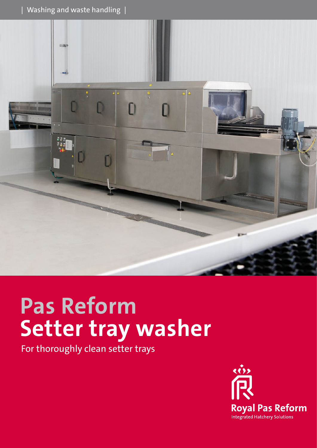

# **Pas Reform Setter tray washer**

For thoroughly clean setter trays